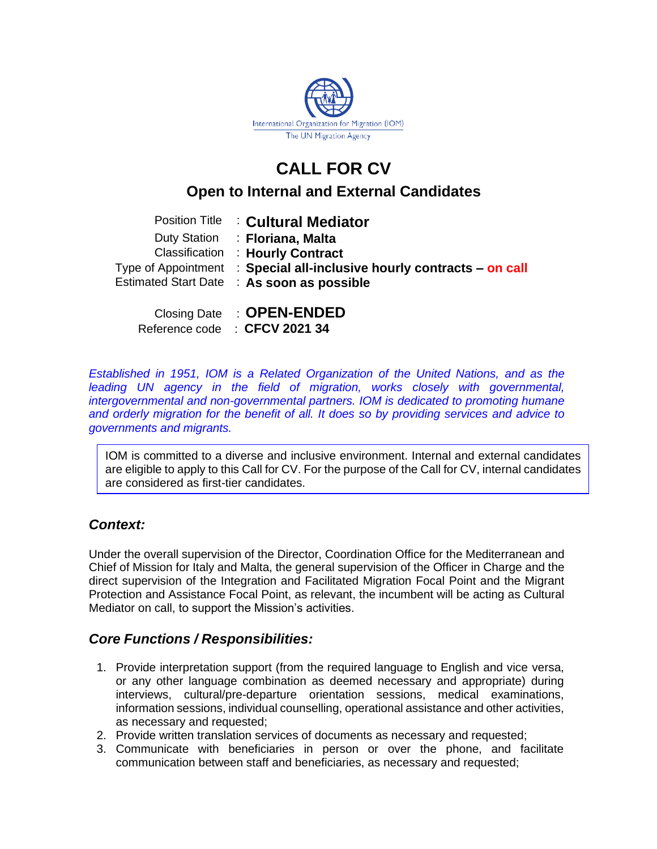

# **CALL FOR CV**

# **Open to Internal and External Candidates**

| <b>Position Title : Cultural Mediator</b>                              |
|------------------------------------------------------------------------|
| Duty Station : Floriana, Malta                                         |
| <b>Classification : Hourly Contract</b>                                |
| Type of Appointment : Special all-inclusive hourly contracts - on call |
| Estimated Start Date : As soon as possible                             |
|                                                                        |
| Closing Date : <b>OPEN-ENDED</b>                                       |

| $5000$ $19000$ | ________________              |
|----------------|-------------------------------|
|                | Reference code : CFCV 2021 34 |

*Established in 1951, IOM is a Related Organization of the United Nations, and as the leading UN agency in the field of migration, works closely with governmental, intergovernmental and non-governmental partners. IOM is dedicated to promoting humane and orderly migration for the benefit of all. It does so by providing services and advice to governments and migrants.*

IOM is committed to a diverse and inclusive environment. Internal and external candidates are eligible to apply to this Call for CV. For the purpose of the Call for CV, internal candidates are considered as first-tier candidates.

## *Context:*

Under the overall supervision of the Director, Coordination Office for the Mediterranean and Chief of Mission for Italy and Malta, the general supervision of the Officer in Charge and the direct supervision of the Integration and Facilitated Migration Focal Point and the Migrant Protection and Assistance Focal Point, as relevant, the incumbent will be acting as Cultural Mediator on call, to support the Mission's activities.

## *Core Functions / Responsibilities:*

- 1. Provide interpretation support (from the required language to English and vice versa, or any other language combination as deemed necessary and appropriate) during interviews, cultural/pre-departure orientation sessions, medical examinations, information sessions, individual counselling, operational assistance and other activities, as necessary and requested;
- 2. Provide written translation services of documents as necessary and requested;
- 3. Communicate with beneficiaries in person or over the phone, and facilitate communication between staff and beneficiaries, as necessary and requested;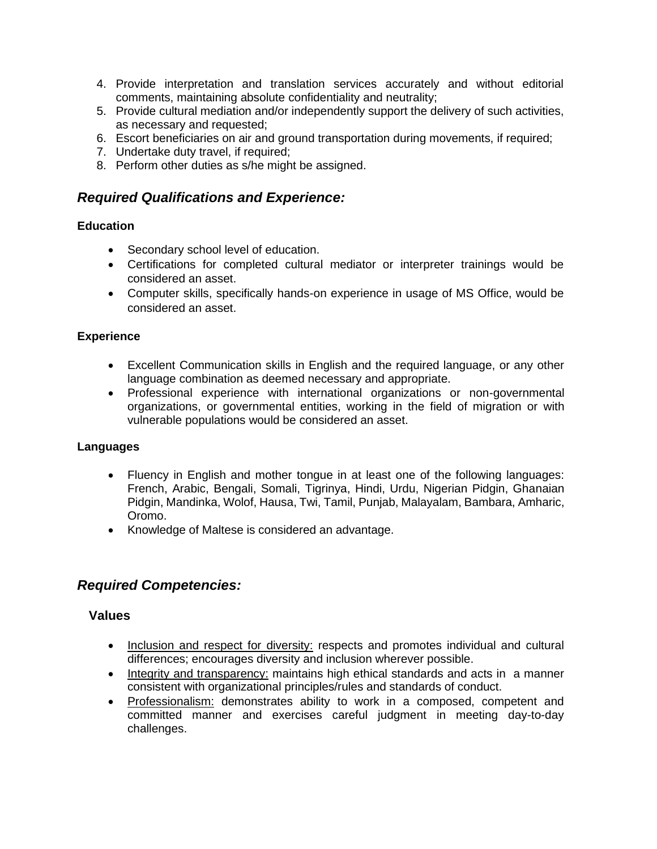- 4. Provide interpretation and translation services accurately and without editorial comments, maintaining absolute confidentiality and neutrality;
- 5. Provide cultural mediation and/or independently support the delivery of such activities, as necessary and requested;
- 6. Escort beneficiaries on air and ground transportation during movements, if required;
- 7. Undertake duty travel, if required;
- 8. Perform other duties as s/he might be assigned.

## *Required Qualifications and Experience:*

#### **Education**

- Secondary school level of education.
- Certifications for completed cultural mediator or interpreter trainings would be considered an asset.
- Computer skills, specifically hands-on experience in usage of MS Office, would be considered an asset.

#### **Experience**

- Excellent Communication skills in English and the required language, or any other language combination as deemed necessary and appropriate.
- Professional experience with international organizations or non-governmental organizations, or governmental entities, working in the field of migration or with vulnerable populations would be considered an asset.

#### **Languages**

- Fluency in English and mother tongue in at least one of the following languages: French, Arabic, Bengali, Somali, Tigrinya, Hindi, Urdu, Nigerian Pidgin, Ghanaian Pidgin, Mandinka, Wolof, Hausa, Twi, Tamil, Punjab, Malayalam, Bambara, Amharic, Oromo.
- Knowledge of Maltese is considered an advantage.

## *Required Competencies:*

#### **Values**

- Inclusion and respect for diversity: respects and promotes individual and cultural differences; encourages diversity and inclusion wherever possible.
- Integrity and transparency: maintains high ethical standards and acts in a manner consistent with organizational principles/rules and standards of conduct.
- Professionalism: demonstrates ability to work in a composed, competent and committed manner and exercises careful judgment in meeting day-to-day challenges.